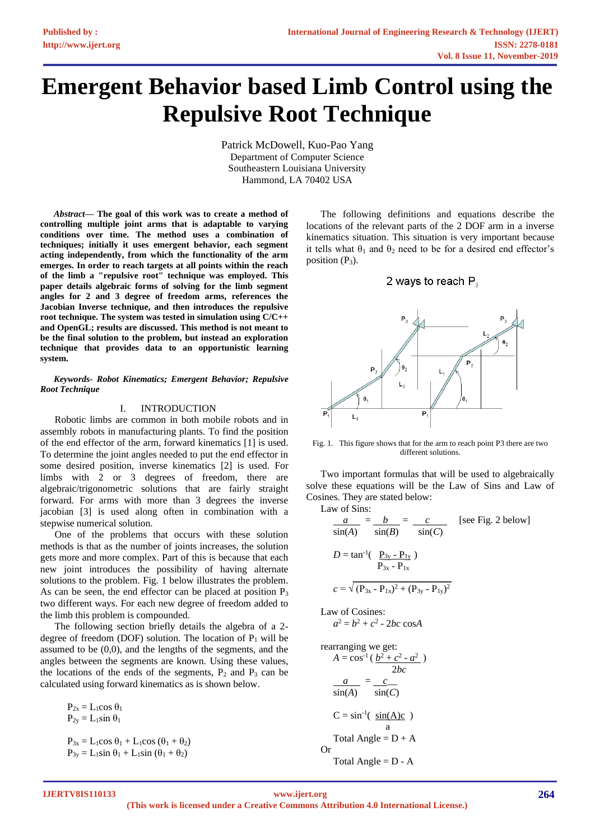# **Emergent Behavior based Limb Control using the Repulsive Root Technique**

Patrick McDowell, Kuo-Pao Yang Department of Computer Science Southeastern Louisiana University Hammond, LA 70402 USA

*Abstract***— The goal of this work was to create a method of controlling multiple joint arms that is adaptable to varying conditions over time. The method uses a combination of techniques; initially it uses emergent behavior, each segment acting independently, from which the functionality of the arm emerges. In order to reach targets at all points within the reach of the limb a "repulsive root" technique was employed. This paper details algebraic forms of solving for the limb segment angles for 2 and 3 degree of freedom arms, references the Jacobian Inverse technique, and then introduces the repulsive root technique. The system was tested in simulation using C/C++ and OpenGL; results are discussed. This method is not meant to be the final solution to the problem, but instead an exploration technique that provides data to an opportunistic learning system.**

*Keywords- Robot Kinematics; Emergent Behavior; Repulsive Root Technique*

### I. INTRODUCTION

Robotic limbs are common in both mobile robots and in assembly robots in manufacturing plants. To find the position of the end effector of the arm, forward kinematics [1] is used. To determine the joint angles needed to put the end effector in some desired position, inverse kinematics [2] is used. For limbs with 2 or 3 degrees of freedom, there are algebraic/trigonometric solutions that are fairly straight forward. For arms with more than 3 degrees the inverse jacobian [3] is used along often in combination with a stepwise numerical solution.

One of the problems that occurs with these solution methods is that as the number of joints increases, the solution gets more and more complex. Part of this is because that each new joint introduces the possibility of having alternate solutions to the problem. Fig. 1 below illustrates the problem. As can be seen, the end effector can be placed at position  $P_3$ two different ways. For each new degree of freedom added to the limb this problem is compounded.

The following section briefly details the algebra of a 2 degree of freedom (DOF) solution. The location of  $P_1$  will be assumed to be (0,0), and the lengths of the segments, and the angles between the segments are known. Using these values, the locations of the ends of the segments,  $P_2$  and  $P_3$  can be calculated using forward kinematics as is shown below.

 $P_{2x} = L_1 \cos \theta_1$  $P_{2y} = L_1 \sin \theta_1$  $P_{3x} = L_1 \cos \theta_1 + L_1 \cos (\theta_1 + \theta_2)$  $P_{3y} = L_1 \sin \theta_1 + L_1 \sin (\theta_1 + \theta_2)$ 

The following definitions and equations describe the locations of the relevant parts of the 2 DOF arm in a inverse kinematics situation. This situation is very important because it tells what  $\theta_1$  and  $\theta_2$  need to be for a desired end effector's position  $(P_3)$ .

## 2 ways to reach P<sub>3</sub>



Fig. 1. This figure shows that for the arm to reach point P3 there are two different solutions.

Two important formulas that will be used to algebraically solve these equations will be the Law of Sins and Law of Cosines. They are stated below:

Law of Sins:

$$
\frac{a}{\sin(A)} = \frac{b}{\sin(B)} = \frac{c}{\sin(C)} \quad \text{[see Fig. 2 below]}
$$
\n
$$
D = \tan^{-1}(\frac{P_{3y} - P_{1y}}{P_{3x} - P_{1x}})
$$
\n
$$
c = \sqrt{(P_{3x} - P_{1x})^2 + (P_{3y} - P_{1y})^2}
$$

Law of Cosines:

$$
a^2 = b^2 + c^2 - 2bc \cos A
$$

rearranging we get:  
\n
$$
A = \cos^{-1}(\frac{b^2 + c^2 - a^2}{2bc})
$$
\n
$$
\frac{a}{\sin(A)} = \frac{c}{\sin(C)}
$$
\n
$$
C = \sin^{-1}(\frac{\sin(A)c}{a})
$$
\nTotal Angle = D + A  
\nOr  
\nTotal Angle = D - A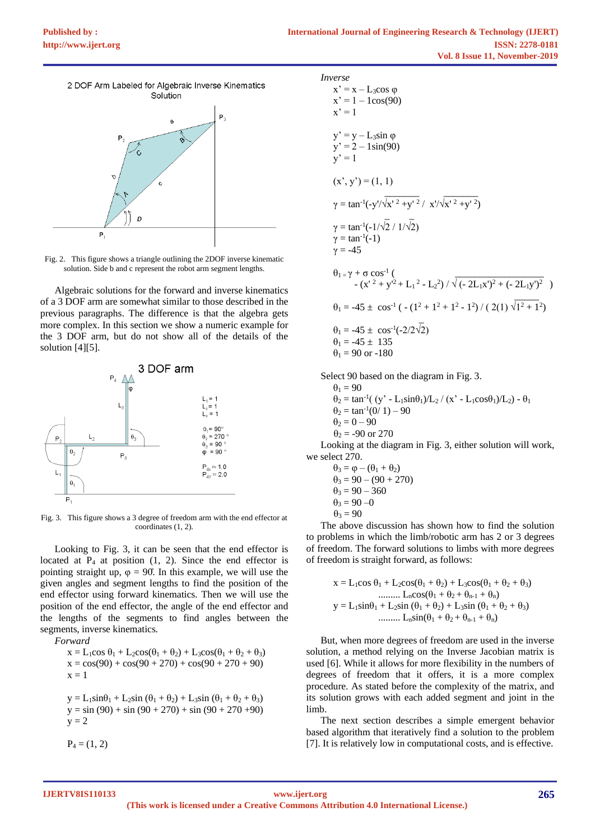

Fig. 2. This figure shows a triangle outlining the 2DOF inverse kinematic solution. Side b and c represent the robot arm segment lengths.

Algebraic solutions for the forward and inverse kinematics of a 3 DOF arm are somewhat similar to those described in the previous paragraphs. The difference is that the algebra gets more complex. In this section we show a numeric example for the 3 DOF arm, but do not show all of the details of the solution [4][5].



Fig. 3. This figure shows a 3 degree of freedom arm with the end effector at coordinates (1, 2).

Looking to Fig. 3, it can be seen that the end effector is located at  $P_4$  at position (1, 2). Since the end effector is pointing straight up,  $\varphi = 90$ . In this example, we will use the given angles and segment lengths to find the position of the end effector using forward kinematics. Then we will use the position of the end effector, the angle of the end effector and the lengths of the segments to find angles between the segments, inverse kinematics.

*Forward*

 $x = L_1 \cos \theta_1 + L_2 \cos(\theta_1 + \theta_2) + L_3 \cos(\theta_1 + \theta_2 + \theta_3)$  $x = cos(90) + cos(90 + 270) + cos(90 + 270 + 90)$  $x = 1$ 

 $y = L_1 \sin\theta_1 + L_2 \sin(\theta_1 + \theta_2) + L_3 \sin(\theta_1 + \theta_2 + \theta_3)$  $y = sin(90) + sin(90 + 270) + sin(90 + 270 + 90)$  $y = 2$ 

 $P_4 = (1, 2)$ 

*Inverse*  
\n
$$
x' = x - L_3 \cos \varphi
$$
  
\n $x' = 1 - \log(90)$   
\n $x' = 1$   
\n $y' = y - L_3 \sin \varphi$   
\n $y' = 2 - 1 \sin(90)$   
\n $y' = 1$   
\n $(x', y') = (1, 1)$   
\n $\gamma = \tan^{-1}(-y')\sqrt{x'^2 + y'^2} / x'/\sqrt{x'^2 + y'^2}$   
\n $\gamma = \tan^{-1}(-1/\sqrt{2} / 1/\sqrt{2})$   
\n $\gamma = \tan^{-1}(-1)$   
\n $\gamma = -45$   
\n $\theta_1 = \gamma + \sigma \cos^{-1}(\frac{-(x'^2 + y'^2 + L_1^2 - L_2^2) / \sqrt{(-2L_1x')^2 + (-2L_1y')^2}}$   
\n $\theta_1 = -45 \pm \cos^{-1}(-\frac{(1^2 + 1^2 + 1^2 - 1^2)}{(2(1)\sqrt{1^2 + 1^2})^2}$   
\n $\theta_1 = -45 \pm \cos^{-1}(-2/2\sqrt{2})$ 

$$
\theta_1 = -45 \pm 135
$$
  
\n
$$
\theta_1 = 90 \text{ or } -180
$$

Select 90 based on the diagram in Fig. 3.

 $\theta_1 = 90$  $\theta_2 = \tan^{-1}((y' - L_1 \sin \theta_1)/L_2 / (x' - L_1 \cos \theta_1)/L_2) - \theta_1$  $\theta_2 = \tan^{-1}(0/1) - 90$  $\theta_2 = 0 - 90$  $\theta_2 = -90$  or 270 Looking at the diagram in Fig. 3, either solution will work,

we select 270.  
\n
$$
\theta_3 = \varphi - (\theta_1 + \theta_2)
$$
  
\n $\theta_3 = 90 - (90 + 270)$   
\n $\theta_3 = 90 - 360$   
\n $\theta_3 = 90 - 0$   
\n $\theta_3 = 90$ 

The above discussion has shown how to find the solution to problems in which the limb/robotic arm has 2 or 3 degrees of freedom. The forward solutions to limbs with more degrees of freedom is straight forward, as follows:

$$
x = L_1 \cos \theta_1 + L_2 \cos(\theta_1 + \theta_2) + L_3 \cos(\theta_1 + \theta_2 + \theta_3)
$$
  
\n............  
\n
$$
L_n \cos(\theta_1 + \theta_2 + \theta_{n-1} + \theta_n)
$$
  
\n
$$
y = L_1 \sin \theta_1 + L_2 \sin (\theta_1 + \theta_2) + L_3 \sin (\theta_1 + \theta_2 + \theta_3)
$$
  
\n............  
\n
$$
L_n \sin(\theta_1 + \theta_2 + \theta_{n-1} + \theta_n)
$$

But, when more degrees of freedom are used in the inverse solution, a method relying on the Inverse Jacobian matrix is used [6]. While it allows for more flexibility in the numbers of degrees of freedom that it offers, it is a more complex procedure. As stated before the complexity of the matrix, and its solution grows with each added segment and joint in the limb.

The next section describes a simple emergent behavior based algorithm that iteratively find a solution to the problem [7]. It is relatively low in computational costs, and is effective.

**IJERTV8IS110133**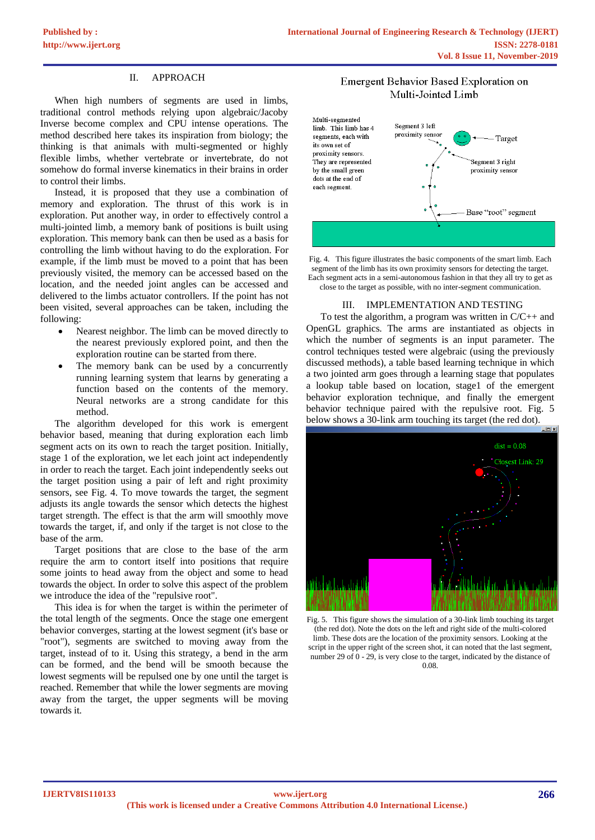## II. APPROACH

When high numbers of segments are used in limbs, traditional control methods relying upon algebraic/Jacoby Inverse become complex and CPU intense operations. The method described here takes its inspiration from biology; the thinking is that animals with multi-segmented or highly flexible limbs, whether vertebrate or invertebrate, do not somehow do formal inverse kinematics in their brains in order to control their limbs.

Instead, it is proposed that they use a combination of memory and exploration. The thrust of this work is in exploration. Put another way, in order to effectively control a multi-jointed limb, a memory bank of positions is built using exploration. This memory bank can then be used as a basis for controlling the limb without having to do the exploration. For example, if the limb must be moved to a point that has been previously visited, the memory can be accessed based on the location, and the needed joint angles can be accessed and delivered to the limbs actuator controllers. If the point has not been visited, several approaches can be taken, including the following:

- Nearest neighbor. The limb can be moved directly to the nearest previously explored point, and then the exploration routine can be started from there.
- The memory bank can be used by a concurrently running learning system that learns by generating a function based on the contents of the memory. Neural networks are a strong candidate for this method.

The algorithm developed for this work is emergent behavior based, meaning that during exploration each limb segment acts on its own to reach the target position. Initially, stage 1 of the exploration, we let each joint act independently in order to reach the target. Each joint independently seeks out the target position using a pair of left and right proximity sensors, see Fig. 4. To move towards the target, the segment adjusts its angle towards the sensor which detects the highest target strength. The effect is that the arm will smoothly move towards the target, if, and only if the target is not close to the base of the arm.

Target positions that are close to the base of the arm require the arm to contort itself into positions that require some joints to head away from the object and some to head towards the object. In order to solve this aspect of the problem we introduce the idea of the "repulsive root".

This idea is for when the target is within the perimeter of the total length of the segments. Once the stage one emergent behavior converges, starting at the lowest segment (it's base or "root"), segments are switched to moving away from the target, instead of to it. Using this strategy, a bend in the arm can be formed, and the bend will be smooth because the lowest segments will be repulsed one by one until the target is reached. Remember that while the lower segments are moving away from the target, the upper segments will be moving towards it.

# Emergent Behavior Based Exploration on Multi-Jointed Limb



Fig. 4. This figure illustrates the basic components of the smart limb. Each segment of the limb has its own proximity sensors for detecting the target. Each segment acts in a semi-autonomous fashion in that they all try to get as close to the target as possible, with no inter-segment communication.

### III. IMPLEMENTATION AND TESTING

To test the algorithm, a program was written in  $C/C++$  and OpenGL graphics. The arms are instantiated as objects in which the number of segments is an input parameter. The control techniques tested were algebraic (using the previously discussed methods), a table based learning technique in which a two jointed arm goes through a learning stage that populates a lookup table based on location, stage1 of the emergent behavior exploration technique, and finally the emergent behavior technique paired with the repulsive root. Fig. 5 below shows a 30-link arm touching its target (the red dot).



Fig. 5. This figure shows the simulation of a 30-link limb touching its target (the red dot). Note the dots on the left and right side of the multi-colored limb. These dots are the location of the proximity sensors. Looking at the script in the upper right of the screen shot, it can noted that the last segment, number 29 of 0 - 29, is very close to the target, indicated by the distance of 0.08